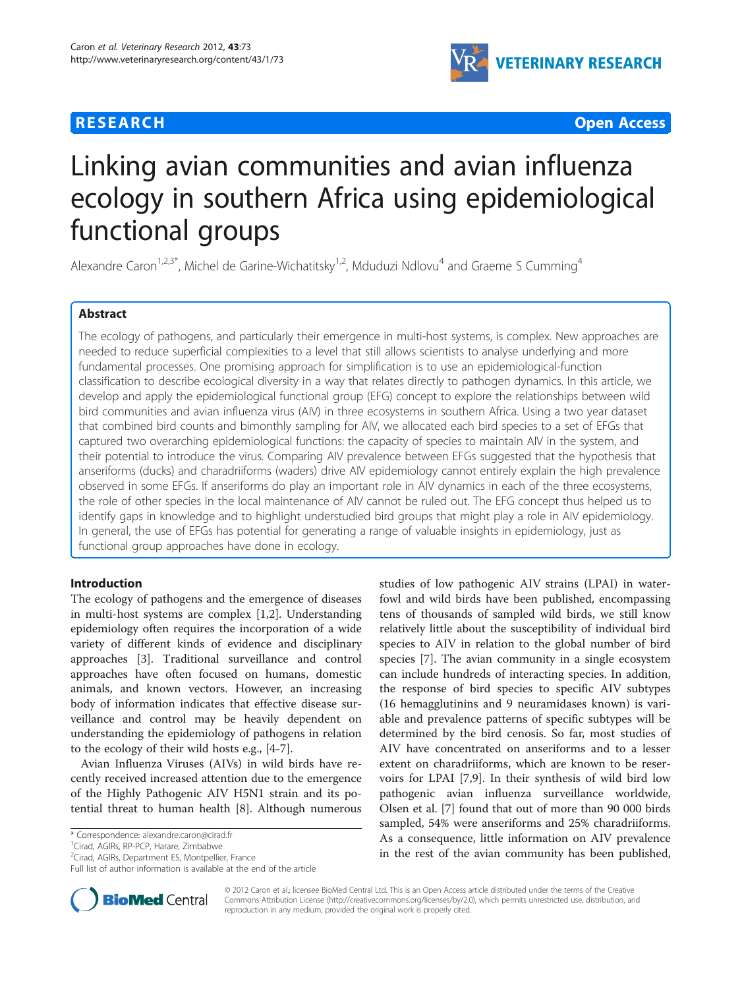



# Linking avian communities and avian influenza ecology in southern Africa using epidemiological functional groups

Alexandre Caron<sup>1,2,3\*</sup>, Michel de Garine-Wichatitsky<sup>1,2</sup>, Mduduzi Ndlovu<sup>4</sup> and Graeme S Cumming<sup>4</sup>

# Abstract

The ecology of pathogens, and particularly their emergence in multi-host systems, is complex. New approaches are needed to reduce superficial complexities to a level that still allows scientists to analyse underlying and more fundamental processes. One promising approach for simplification is to use an epidemiological-function classification to describe ecological diversity in a way that relates directly to pathogen dynamics. In this article, we develop and apply the epidemiological functional group (EFG) concept to explore the relationships between wild bird communities and avian influenza virus (AIV) in three ecosystems in southern Africa. Using a two year dataset that combined bird counts and bimonthly sampling for AIV, we allocated each bird species to a set of EFGs that captured two overarching epidemiological functions: the capacity of species to maintain AIV in the system, and their potential to introduce the virus. Comparing AIV prevalence between EFGs suggested that the hypothesis that anseriforms (ducks) and charadriiforms (waders) drive AIV epidemiology cannot entirely explain the high prevalence observed in some EFGs. If anseriforms do play an important role in AIV dynamics in each of the three ecosystems, the role of other species in the local maintenance of AIV cannot be ruled out. The EFG concept thus helped us to identify gaps in knowledge and to highlight understudied bird groups that might play a role in AIV epidemiology. In general, the use of EFGs has potential for generating a range of valuable insights in epidemiology, just as functional group approaches have done in ecology.

# Introduction

The ecology of pathogens and the emergence of diseases in multi-host systems are complex [[1,2\]](#page-9-0). Understanding epidemiology often requires the incorporation of a wide variety of different kinds of evidence and disciplinary approaches [\[3\]](#page-9-0). Traditional surveillance and control approaches have often focused on humans, domestic animals, and known vectors. However, an increasing body of information indicates that effective disease surveillance and control may be heavily dependent on understanding the epidemiology of pathogens in relation to the ecology of their wild hosts e.g., [\[4](#page-9-0)-[7\]](#page-9-0).

Avian Influenza Viruses (AIVs) in wild birds have recently received increased attention due to the emergence of the Highly Pathogenic AIV H5N1 strain and its potential threat to human health [\[8](#page-9-0)]. Although numerous

<sup>1</sup>Cirad, AGIRs, RP-PCP, Harare, Zimbabwe

Full list of author information is available at the end of the article





© 2012 Caron et al.; licensee BioMed Central Ltd. This is an Open Access article distributed under the terms of the Creative Commons Attribution License [\(http://creativecommons.org/licenses/by/2.0\)](http://creativecommons.org/licenses/by/2.0), which permits unrestricted use, distribution, and reproduction in any medium, provided the original work is properly cited.

<sup>\*</sup> Correspondence: [alexandre.caron@cirad.fr](mailto:alexandre.caron@cirad.fr) <sup>1</sup>

<sup>&</sup>lt;sup>2</sup>Cirad, AGIRs, Department ES, Montpellier, France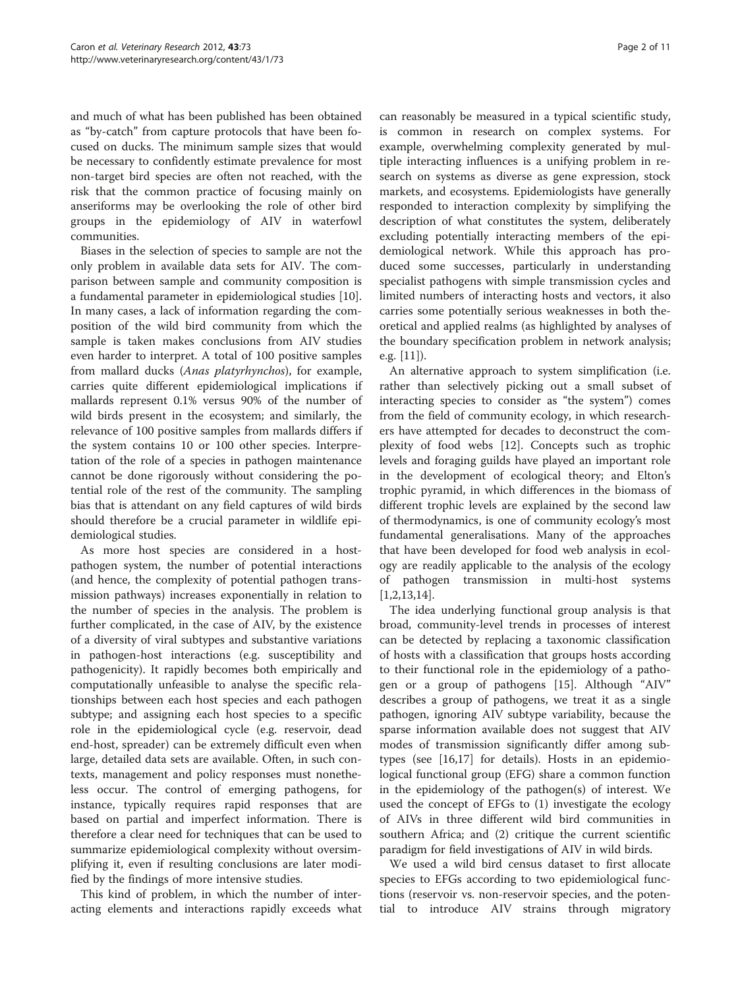and much of what has been published has been obtained as "by-catch" from capture protocols that have been focused on ducks. The minimum sample sizes that would be necessary to confidently estimate prevalence for most non-target bird species are often not reached, with the risk that the common practice of focusing mainly on anseriforms may be overlooking the role of other bird groups in the epidemiology of AIV in waterfowl communities.

Biases in the selection of species to sample are not the only problem in available data sets for AIV. The comparison between sample and community composition is a fundamental parameter in epidemiological studies [\[10](#page-9-0)]. In many cases, a lack of information regarding the composition of the wild bird community from which the sample is taken makes conclusions from AIV studies even harder to interpret. A total of 100 positive samples from mallard ducks (Anas platyrhynchos), for example, carries quite different epidemiological implications if mallards represent 0.1% versus 90% of the number of wild birds present in the ecosystem; and similarly, the relevance of 100 positive samples from mallards differs if the system contains 10 or 100 other species. Interpretation of the role of a species in pathogen maintenance cannot be done rigorously without considering the potential role of the rest of the community. The sampling bias that is attendant on any field captures of wild birds should therefore be a crucial parameter in wildlife epidemiological studies.

As more host species are considered in a hostpathogen system, the number of potential interactions (and hence, the complexity of potential pathogen transmission pathways) increases exponentially in relation to the number of species in the analysis. The problem is further complicated, in the case of AIV, by the existence of a diversity of viral subtypes and substantive variations in pathogen-host interactions (e.g. susceptibility and pathogenicity). It rapidly becomes both empirically and computationally unfeasible to analyse the specific relationships between each host species and each pathogen subtype; and assigning each host species to a specific role in the epidemiological cycle (e.g. reservoir, dead end-host, spreader) can be extremely difficult even when large, detailed data sets are available. Often, in such contexts, management and policy responses must nonetheless occur. The control of emerging pathogens, for instance, typically requires rapid responses that are based on partial and imperfect information. There is therefore a clear need for techniques that can be used to summarize epidemiological complexity without oversimplifying it, even if resulting conclusions are later modified by the findings of more intensive studies.

This kind of problem, in which the number of interacting elements and interactions rapidly exceeds what

can reasonably be measured in a typical scientific study, is common in research on complex systems. For example, overwhelming complexity generated by multiple interacting influences is a unifying problem in research on systems as diverse as gene expression, stock markets, and ecosystems. Epidemiologists have generally responded to interaction complexity by simplifying the description of what constitutes the system, deliberately excluding potentially interacting members of the epidemiological network. While this approach has produced some successes, particularly in understanding specialist pathogens with simple transmission cycles and limited numbers of interacting hosts and vectors, it also carries some potentially serious weaknesses in both theoretical and applied realms (as highlighted by analyses of the boundary specification problem in network analysis; e.g. [\[11](#page-9-0)]).

An alternative approach to system simplification (i.e. rather than selectively picking out a small subset of interacting species to consider as "the system") comes from the field of community ecology, in which researchers have attempted for decades to deconstruct the complexity of food webs [\[12\]](#page-9-0). Concepts such as trophic levels and foraging guilds have played an important role in the development of ecological theory; and Elton's trophic pyramid, in which differences in the biomass of different trophic levels are explained by the second law of thermodynamics, is one of community ecology's most fundamental generalisations. Many of the approaches that have been developed for food web analysis in ecology are readily applicable to the analysis of the ecology of pathogen transmission in multi-host systems [[1,2,13,14\]](#page-9-0).

The idea underlying functional group analysis is that broad, community-level trends in processes of interest can be detected by replacing a taxonomic classification of hosts with a classification that groups hosts according to their functional role in the epidemiology of a pathogen or a group of pathogens [[15\]](#page-9-0). Although "AIV" describes a group of pathogens, we treat it as a single pathogen, ignoring AIV subtype variability, because the sparse information available does not suggest that AIV modes of transmission significantly differ among subtypes (see [\[16,17](#page-10-0)] for details). Hosts in an epidemiological functional group (EFG) share a common function in the epidemiology of the pathogen(s) of interest. We used the concept of EFGs to (1) investigate the ecology of AIVs in three different wild bird communities in southern Africa; and (2) critique the current scientific paradigm for field investigations of AIV in wild birds.

We used a wild bird census dataset to first allocate species to EFGs according to two epidemiological functions (reservoir vs. non-reservoir species, and the potential to introduce AIV strains through migratory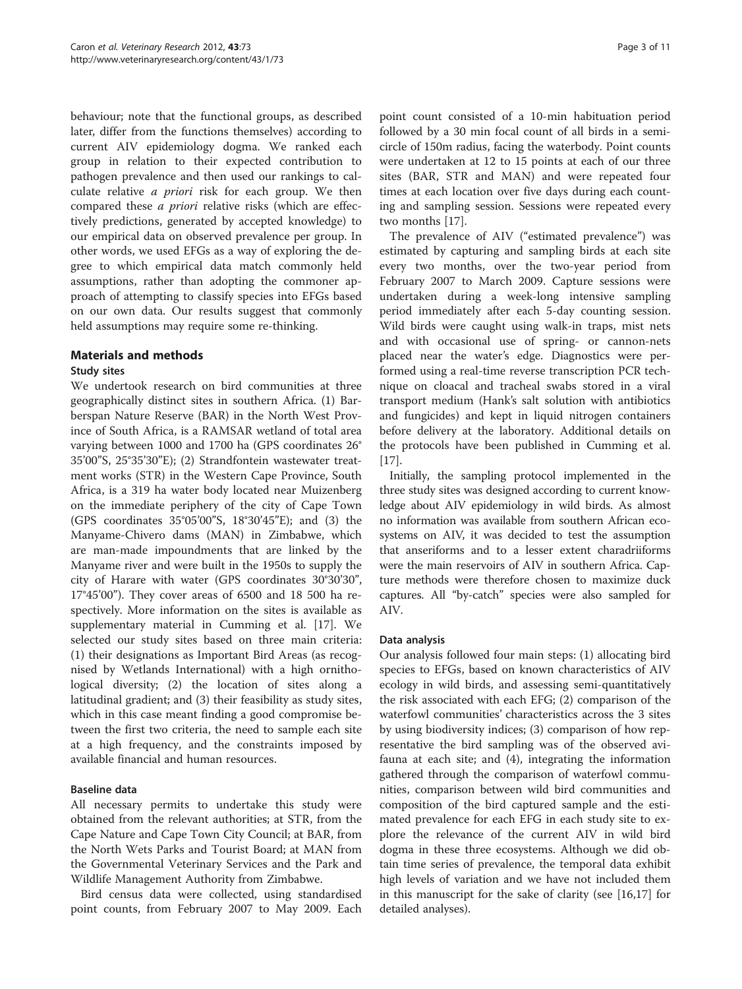behaviour; note that the functional groups, as described later, differ from the functions themselves) according to current AIV epidemiology dogma. We ranked each group in relation to their expected contribution to pathogen prevalence and then used our rankings to calculate relative a priori risk for each group. We then compared these a priori relative risks (which are effectively predictions, generated by accepted knowledge) to our empirical data on observed prevalence per group. In other words, we used EFGs as a way of exploring the degree to which empirical data match commonly held assumptions, rather than adopting the commoner approach of attempting to classify species into EFGs based on our own data. Our results suggest that commonly held assumptions may require some re-thinking.

## Materials and methods

# Study sites

We undertook research on bird communities at three geographically distinct sites in southern Africa. (1) Barberspan Nature Reserve (BAR) in the North West Province of South Africa, is a RAMSAR wetland of total area varying between 1000 and 1700 ha (GPS coordinates 26° 35'00"S, 25°35'30"E); (2) Strandfontein wastewater treatment works (STR) in the Western Cape Province, South Africa, is a 319 ha water body located near Muizenberg on the immediate periphery of the city of Cape Town (GPS coordinates 35°05'00"S, 18°30'45"E); and (3) the Manyame-Chivero dams (MAN) in Zimbabwe, which are man-made impoundments that are linked by the Manyame river and were built in the 1950s to supply the city of Harare with water (GPS coordinates 30°30'30", 17°45'00"). They cover areas of 6500 and 18 500 ha respectively. More information on the sites is available as supplementary material in Cumming et al. [\[17\]](#page-10-0). We selected our study sites based on three main criteria: (1) their designations as Important Bird Areas (as recognised by Wetlands International) with a high ornithological diversity; (2) the location of sites along a latitudinal gradient; and (3) their feasibility as study sites, which in this case meant finding a good compromise between the first two criteria, the need to sample each site at a high frequency, and the constraints imposed by available financial and human resources.

## Baseline data

All necessary permits to undertake this study were obtained from the relevant authorities; at STR, from the Cape Nature and Cape Town City Council; at BAR, from the North Wets Parks and Tourist Board; at MAN from the Governmental Veterinary Services and the Park and Wildlife Management Authority from Zimbabwe.

Bird census data were collected, using standardised point counts, from February 2007 to May 2009. Each point count consisted of a 10-min habituation period followed by a 30 min focal count of all birds in a semicircle of 150m radius, facing the waterbody. Point counts were undertaken at 12 to 15 points at each of our three sites (BAR, STR and MAN) and were repeated four times at each location over five days during each counting and sampling session. Sessions were repeated every two months [[17\]](#page-10-0).

The prevalence of AIV ("estimated prevalence") was estimated by capturing and sampling birds at each site every two months, over the two-year period from February 2007 to March 2009. Capture sessions were undertaken during a week-long intensive sampling period immediately after each 5-day counting session. Wild birds were caught using walk-in traps, mist nets and with occasional use of spring- or cannon-nets placed near the water's edge. Diagnostics were performed using a real-time reverse transcription PCR technique on cloacal and tracheal swabs stored in a viral transport medium (Hank's salt solution with antibiotics and fungicides) and kept in liquid nitrogen containers before delivery at the laboratory. Additional details on the protocols have been published in Cumming et al. [[17\]](#page-10-0).

Initially, the sampling protocol implemented in the three study sites was designed according to current knowledge about AIV epidemiology in wild birds. As almost no information was available from southern African ecosystems on AIV, it was decided to test the assumption that anseriforms and to a lesser extent charadriiforms were the main reservoirs of AIV in southern Africa. Capture methods were therefore chosen to maximize duck captures. All "by-catch" species were also sampled for AIV.

# Data analysis

Our analysis followed four main steps: (1) allocating bird species to EFGs, based on known characteristics of AIV ecology in wild birds, and assessing semi-quantitatively the risk associated with each EFG; (2) comparison of the waterfowl communities' characteristics across the 3 sites by using biodiversity indices; (3) comparison of how representative the bird sampling was of the observed avifauna at each site; and (4), integrating the information gathered through the comparison of waterfowl communities, comparison between wild bird communities and composition of the bird captured sample and the estimated prevalence for each EFG in each study site to explore the relevance of the current AIV in wild bird dogma in these three ecosystems. Although we did obtain time series of prevalence, the temporal data exhibit high levels of variation and we have not included them in this manuscript for the sake of clarity (see [[16](#page-10-0),[17](#page-10-0)] for detailed analyses).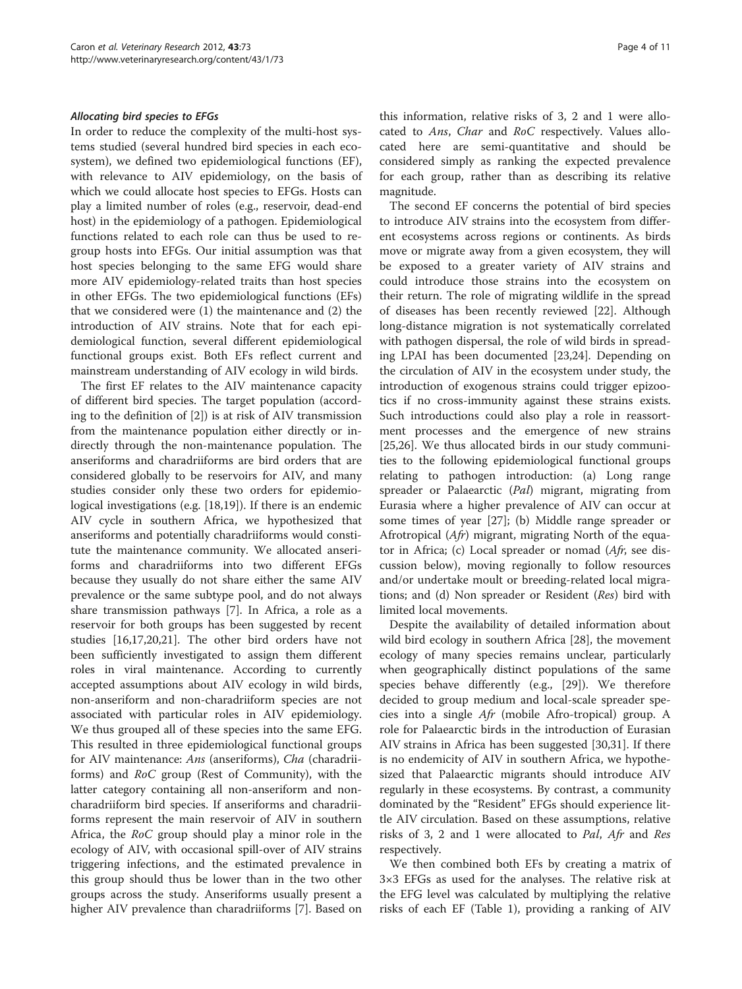#### Allocating bird species to EFGs

In order to reduce the complexity of the multi-host systems studied (several hundred bird species in each ecosystem), we defined two epidemiological functions (EF), with relevance to AIV epidemiology, on the basis of which we could allocate host species to EFGs. Hosts can play a limited number of roles (e.g., reservoir, dead-end host) in the epidemiology of a pathogen. Epidemiological functions related to each role can thus be used to regroup hosts into EFGs. Our initial assumption was that host species belonging to the same EFG would share more AIV epidemiology-related traits than host species in other EFGs. The two epidemiological functions (EFs) that we considered were (1) the maintenance and (2) the introduction of AIV strains. Note that for each epidemiological function, several different epidemiological functional groups exist. Both EFs reflect current and mainstream understanding of AIV ecology in wild birds.

The first EF relates to the AIV maintenance capacity of different bird species. The target population (according to the definition of [[2\]](#page-9-0)) is at risk of AIV transmission from the maintenance population either directly or indirectly through the non-maintenance population. The anseriforms and charadriiforms are bird orders that are considered globally to be reservoirs for AIV, and many studies consider only these two orders for epidemiological investigations (e.g. [\[18,19](#page-10-0)]). If there is an endemic AIV cycle in southern Africa, we hypothesized that anseriforms and potentially charadriiforms would constitute the maintenance community. We allocated anseriforms and charadriiforms into two different EFGs because they usually do not share either the same AIV prevalence or the same subtype pool, and do not always share transmission pathways [\[7](#page-9-0)]. In Africa, a role as a reservoir for both groups has been suggested by recent studies [[16](#page-10-0),[17](#page-10-0),[20](#page-10-0),[21](#page-10-0)]. The other bird orders have not been sufficiently investigated to assign them different roles in viral maintenance. According to currently accepted assumptions about AIV ecology in wild birds, non-anseriform and non-charadriiform species are not associated with particular roles in AIV epidemiology. We thus grouped all of these species into the same EFG. This resulted in three epidemiological functional groups for AIV maintenance: *Ans* (anseriforms), *Cha* (charadriiforms) and RoC group (Rest of Community), with the latter category containing all non-anseriform and noncharadriiform bird species. If anseriforms and charadriiforms represent the main reservoir of AIV in southern Africa, the RoC group should play a minor role in the ecology of AIV, with occasional spill-over of AIV strains triggering infections, and the estimated prevalence in this group should thus be lower than in the two other groups across the study. Anseriforms usually present a higher AIV prevalence than charadriiforms [[7\]](#page-9-0). Based on

this information, relative risks of 3, 2 and 1 were allocated to Ans, Char and RoC respectively. Values allocated here are semi-quantitative and should be considered simply as ranking the expected prevalence for each group, rather than as describing its relative magnitude.

The second EF concerns the potential of bird species to introduce AIV strains into the ecosystem from different ecosystems across regions or continents. As birds move or migrate away from a given ecosystem, they will be exposed to a greater variety of AIV strains and could introduce those strains into the ecosystem on their return. The role of migrating wildlife in the spread of diseases has been recently reviewed [[22\]](#page-10-0). Although long-distance migration is not systematically correlated with pathogen dispersal, the role of wild birds in spreading LPAI has been documented [\[23,24](#page-10-0)]. Depending on the circulation of AIV in the ecosystem under study, the introduction of exogenous strains could trigger epizootics if no cross-immunity against these strains exists. Such introductions could also play a role in reassortment processes and the emergence of new strains [[25,26\]](#page-10-0). We thus allocated birds in our study communities to the following epidemiological functional groups relating to pathogen introduction: (a) Long range spreader or Palaearctic (Pal) migrant, migrating from Eurasia where a higher prevalence of AIV can occur at some times of year [\[27](#page-10-0)]; (b) Middle range spreader or Afrotropical  $(Af<sub>r</sub>)$  migrant, migrating North of the equator in Africa; (c) Local spreader or nomad (Afr, see discussion below), moving regionally to follow resources and/or undertake moult or breeding-related local migrations; and (d) Non spreader or Resident (Res) bird with limited local movements.

Despite the availability of detailed information about wild bird ecology in southern Africa [[28\]](#page-10-0), the movement ecology of many species remains unclear, particularly when geographically distinct populations of the same species behave differently (e.g., [\[29](#page-10-0)]). We therefore decided to group medium and local-scale spreader species into a single Afr (mobile Afro-tropical) group. A role for Palaearctic birds in the introduction of Eurasian AIV strains in Africa has been suggested [\[30,31\]](#page-10-0). If there is no endemicity of AIV in southern Africa, we hypothesized that Palaearctic migrants should introduce AIV regularly in these ecosystems. By contrast, a community dominated by the "Resident" EFGs should experience little AIV circulation. Based on these assumptions, relative risks of 3, 2 and 1 were allocated to Pal, Afr and Res respectively.

We then combined both EFs by creating a matrix of 3×3 EFGs as used for the analyses. The relative risk at the EFG level was calculated by multiplying the relative risks of each EF (Table [1](#page-4-0)), providing a ranking of AIV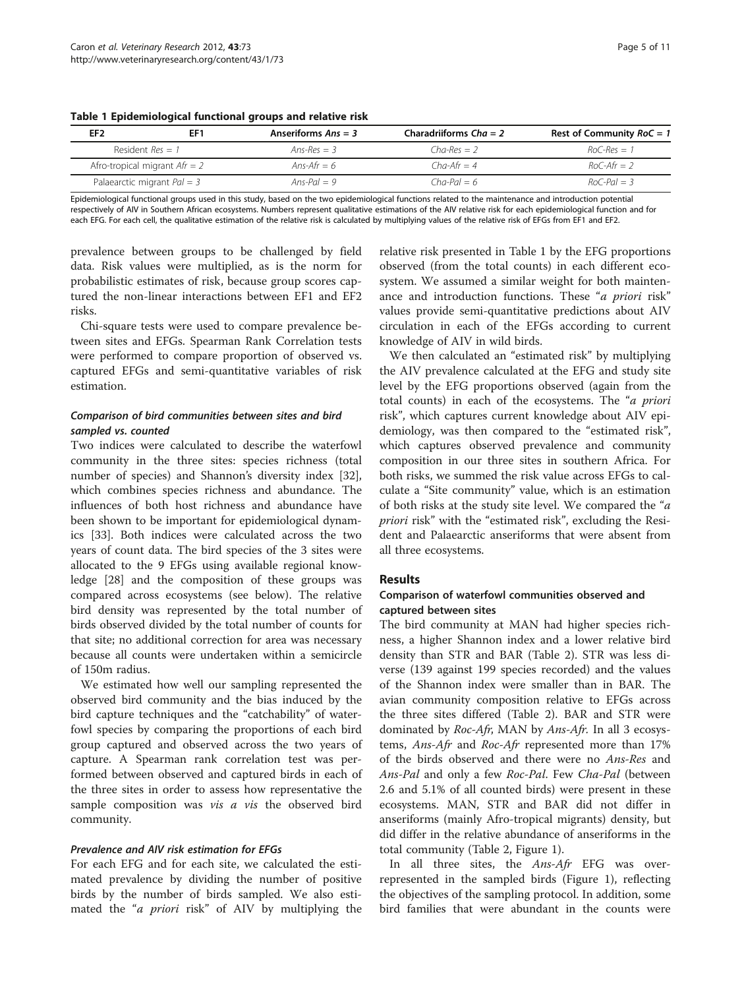| EF2                             | EF1 | Anseriforms $Ans = 3$ | Charadriiforms $Cha = 2$ | Rest of Community $RoC = 1$ |
|---------------------------------|-----|-----------------------|--------------------------|-----------------------------|
| Resident $Res = 1$              |     | Ans-Res $=$ 3         | $Cha-Res = 2$            | $RoC$ -Res = 1              |
| Afro-tropical migrant $Afr = 2$ |     | Ans-Afr $= 6$         | $Cha-Afr = 4$            | $RoC$ -Afr = 2              |
| Palaearctic migrant $Pal = 3$   |     | $Ans-Pal = 9$         | $Cha-PaI = 6$            | $RoC$ -Pal = 3              |

<span id="page-4-0"></span>Table 1 Epidemiological functional groups and relative risk

Epidemiological functional groups used in this study, based on the two epidemiological functions related to the maintenance and introduction potential respectively of AIV in Southern African ecosystems. Numbers represent qualitative estimations of the AIV relative risk for each epidemiological function and for each EFG. For each cell, the qualitative estimation of the relative risk is calculated by multiplying values of the relative risk of EFGs from EF1 and EF2.

prevalence between groups to be challenged by field data. Risk values were multiplied, as is the norm for probabilistic estimates of risk, because group scores captured the non-linear interactions between EF1 and EF2 risks.

Chi-square tests were used to compare prevalence between sites and EFGs. Spearman Rank Correlation tests were performed to compare proportion of observed vs. captured EFGs and semi-quantitative variables of risk estimation.

# Comparison of bird communities between sites and bird sampled vs. counted

Two indices were calculated to describe the waterfowl community in the three sites: species richness (total number of species) and Shannon's diversity index [\[32](#page-10-0)], which combines species richness and abundance. The influences of both host richness and abundance have been shown to be important for epidemiological dynamics [\[33\]](#page-10-0). Both indices were calculated across the two years of count data. The bird species of the 3 sites were allocated to the 9 EFGs using available regional knowledge [[28\]](#page-10-0) and the composition of these groups was compared across ecosystems (see below). The relative bird density was represented by the total number of birds observed divided by the total number of counts for that site; no additional correction for area was necessary because all counts were undertaken within a semicircle of 150m radius.

We estimated how well our sampling represented the observed bird community and the bias induced by the bird capture techniques and the "catchability" of waterfowl species by comparing the proportions of each bird group captured and observed across the two years of capture. A Spearman rank correlation test was performed between observed and captured birds in each of the three sites in order to assess how representative the sample composition was  $vis$   $a$   $vis$  the observed bird community.

# Prevalence and AIV risk estimation for EFGs

For each EFG and for each site, we calculated the estimated prevalence by dividing the number of positive birds by the number of birds sampled. We also estimated the "a priori risk" of AIV by multiplying the

relative risk presented in Table 1 by the EFG proportions observed (from the total counts) in each different ecosystem. We assumed a similar weight for both maintenance and introduction functions. These "a priori risk" values provide semi-quantitative predictions about AIV circulation in each of the EFGs according to current knowledge of AIV in wild birds.

We then calculated an "estimated risk" by multiplying the AIV prevalence calculated at the EFG and study site level by the EFG proportions observed (again from the total counts) in each of the ecosystems. The "a priori risk", which captures current knowledge about AIV epidemiology, was then compared to the "estimated risk", which captures observed prevalence and community composition in our three sites in southern Africa. For both risks, we summed the risk value across EFGs to calculate a "Site community" value, which is an estimation of both risks at the study site level. We compared the "a priori risk" with the "estimated risk", excluding the Resident and Palaearctic anseriforms that were absent from all three ecosystems.

## Results

# Comparison of waterfowl communities observed and captured between sites

The bird community at MAN had higher species richness, a higher Shannon index and a lower relative bird density than STR and BAR (Table [2](#page-5-0)). STR was less diverse (139 against 199 species recorded) and the values of the Shannon index were smaller than in BAR. The avian community composition relative to EFGs across the three sites differed (Table [2\)](#page-5-0). BAR and STR were dominated by Roc-Afr, MAN by Ans-Afr. In all 3 ecosystems, Ans-Afr and Roc-Afr represented more than 17% of the birds observed and there were no Ans-Res and Ans-Pal and only a few Roc-Pal. Few Cha-Pal (between 2.6 and 5.1% of all counted birds) were present in these ecosystems. MAN, STR and BAR did not differ in anseriforms (mainly Afro-tropical migrants) density, but did differ in the relative abundance of anseriforms in the total community (Table [2,](#page-5-0) Figure [1\)](#page-5-0).

In all three sites, the Ans-Afr EFG was overrepresented in the sampled birds (Figure [1](#page-5-0)), reflecting the objectives of the sampling protocol. In addition, some bird families that were abundant in the counts were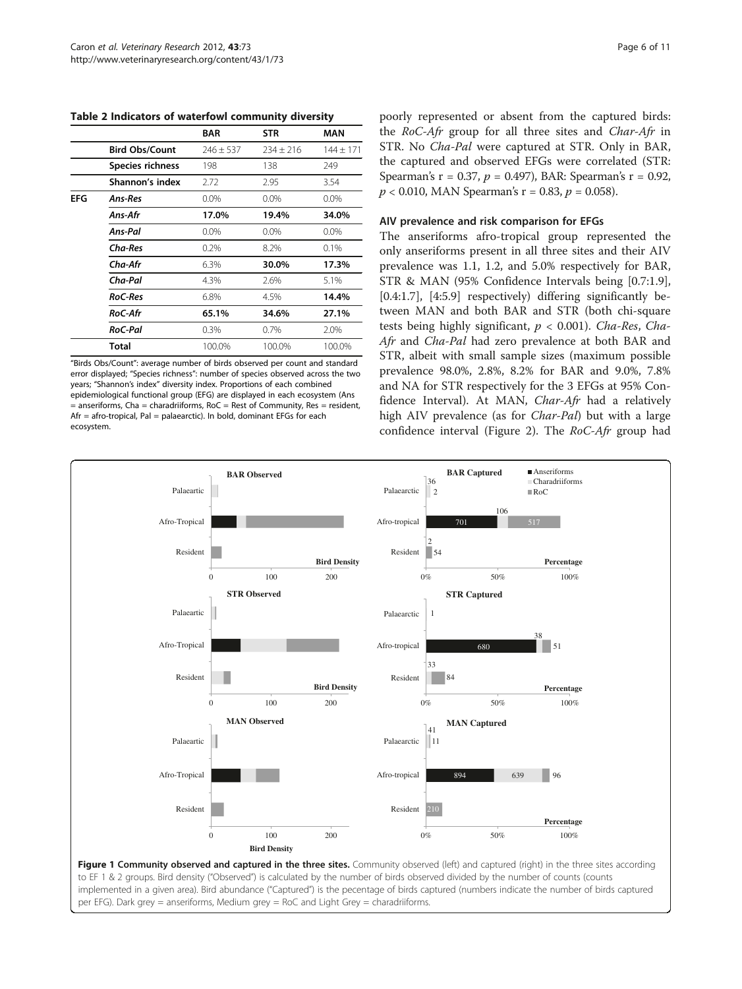<span id="page-5-0"></span>Table 2 Indicators of waterfowl community diversity

|            |                         | <b>BAR</b>    | <b>STR</b>  | MAN         |
|------------|-------------------------|---------------|-------------|-------------|
|            | <b>Bird Obs/Count</b>   | $246 \pm 537$ | $234 + 216$ | $144 + 171$ |
|            | <b>Species richness</b> | 198           | 138         | 249         |
|            | Shannon's index         | 2.72          | 2.95        | 3.54        |
| <b>EFG</b> | Ans-Res                 | $0.0\%$       | $0.0\%$     | $0.0\%$     |
|            | Ans-Afr                 | 17.0%         | 19.4%       | 34.0%       |
|            | Ans-Pal                 | $0.0\%$       | $0.0\%$     | $0.0\%$     |
|            | Cha-Res                 | 0.2%          | 8.2%        | 0.1%        |
|            | Cha-Afr                 | 6.3%          | 30.0%       | 17.3%       |
|            | Cha-Pal                 | 4.3%          | 2.6%        | 5.1%        |
|            | <b>RoC-Res</b>          | 6.8%          | 4.5%        | 14.4%       |
|            | RoC-Afr                 | 65.1%         | 34.6%       | 27.1%       |
|            | <b>RoC-Pal</b>          | 0.3%          | 0.7%        | 2.0%        |
|            | <b>Total</b>            | 100.0%        | 100.0%      | 100.0%      |

"Birds Obs/Count": average number of birds observed per count and standard error displayed; "Species richness": number of species observed across the two years; "Shannon's index" diversity index. Proportions of each combined epidemiological functional group (EFG) are displayed in each ecosystem (Ans  $=$  anseriforms, Cha  $=$  charadriiforms, RoC  $=$  Rest of Community, Res  $=$  resident, Afr = afro-tropical, Pal = palaearctic). In bold, dominant EFGs for each ecosystem.

poorly represented or absent from the captured birds: the RoC-Afr group for all three sites and Char-Afr in STR. No Cha-Pal were captured at STR. Only in BAR, the captured and observed EFGs were correlated (STR: Spearman's  $r = 0.37$ ,  $p = 0.497$ ), BAR: Spearman's  $r = 0.92$ ,  $p < 0.010$ , MAN Spearman's r = 0.83,  $p = 0.058$ ).

## AIV prevalence and risk comparison for EFGs

The anseriforms afro-tropical group represented the only anseriforms present in all three sites and their AIV prevalence was 1.1, 1.2, and 5.0% respectively for BAR, STR & MAN (95% Confidence Intervals being [0.7:1.9], [0.4:1.7], [4:5.9] respectively) differing significantly between MAN and both BAR and STR (both chi-square tests being highly significant,  $p < 0.001$ ). Cha-Res, Cha-Afr and Cha-Pal had zero prevalence at both BAR and STR, albeit with small sample sizes (maximum possible prevalence 98.0%, 2.8%, 8.2% for BAR and 9.0%, 7.8% and NA for STR respectively for the 3 EFGs at 95% Confidence Interval). At MAN, Char-Afr had a relatively high AIV prevalence (as for *Char-Pal*) but with a large confidence interval (Figure [2](#page-6-0)). The RoC-Afr group had



to EF 1 & 2 groups. Bird density ("Observed") is calculated by the number of birds observed divided by the number of counts (counts implemented in a given area). Bird abundance ("Captured") is the pecentage of birds captured (numbers indicate the number of birds captured per EFG). Dark grey = anseriforms, Medium grey = RoC and Light Grey = charadriiforms.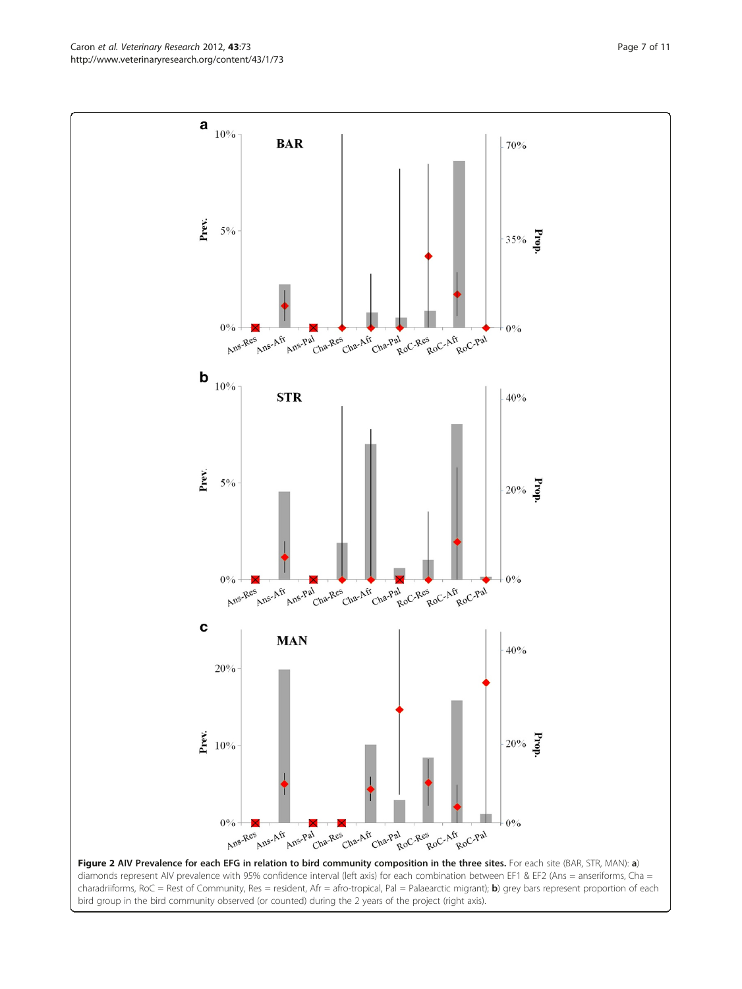<span id="page-6-0"></span>Caron et al. Veterinary Research 2012, 43:73 Page 7 of 11 http://www.veterinaryresearch.org/content/43/1/73

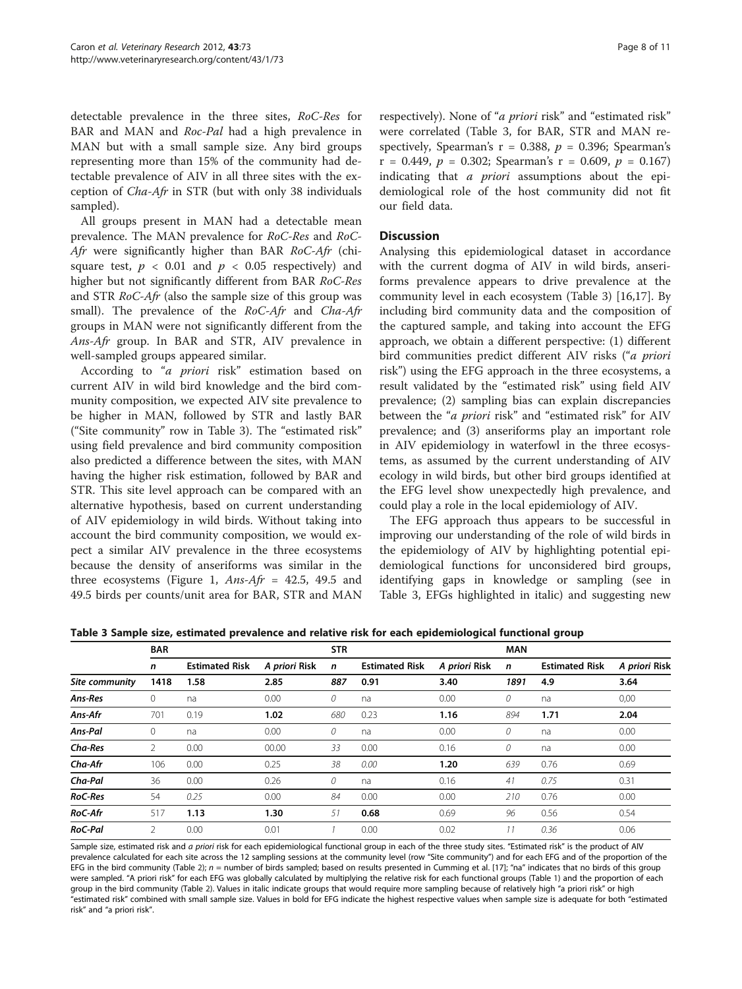<span id="page-7-0"></span>detectable prevalence in the three sites, RoC-Res for BAR and MAN and Roc-Pal had a high prevalence in MAN but with a small sample size. Any bird groups representing more than 15% of the community had detectable prevalence of AIV in all three sites with the exception of Cha-Afr in STR (but with only 38 individuals sampled).

All groups present in MAN had a detectable mean prevalence. The MAN prevalence for RoC-Res and RoC-Afr were significantly higher than BAR RoC-Afr (chisquare test,  $p < 0.01$  and  $p < 0.05$  respectively) and higher but not significantly different from BAR RoC-Res and STR RoC-Afr (also the sample size of this group was small). The prevalence of the RoC-Afr and Cha-Afr groups in MAN were not significantly different from the Ans-Afr group. In BAR and STR, AIV prevalence in well-sampled groups appeared similar.

According to "a priori risk" estimation based on current AIV in wild bird knowledge and the bird community composition, we expected AIV site prevalence to be higher in MAN, followed by STR and lastly BAR ("Site community" row in Table 3). The "estimated risk" using field prevalence and bird community composition also predicted a difference between the sites, with MAN having the higher risk estimation, followed by BAR and STR. This site level approach can be compared with an alternative hypothesis, based on current understanding of AIV epidemiology in wild birds. Without taking into account the bird community composition, we would expect a similar AIV prevalence in the three ecosystems because the density of anseriforms was similar in the three ecosystems (Figure [1](#page-5-0),  $Ans-Afr = 42.5$ , 49.5 and 49.5 birds per counts/unit area for BAR, STR and MAN

respectively). None of "a priori risk" and "estimated risk" were correlated (Table 3, for BAR, STR and MAN respectively, Spearman's  $r = 0.388$ ,  $p = 0.396$ ; Spearman's  $r = 0.449$ ,  $p = 0.302$ ; Spearman's  $r = 0.609$ ,  $p = 0.167$ ) indicating that *a priori* assumptions about the epidemiological role of the host community did not fit our field data.

## **Discussion**

Analysing this epidemiological dataset in accordance with the current dogma of AIV in wild birds, anseriforms prevalence appears to drive prevalence at the community level in each ecosystem (Table 3) [[16,17\]](#page-10-0). By including bird community data and the composition of the captured sample, and taking into account the EFG approach, we obtain a different perspective: (1) different bird communities predict different AIV risks ("a priori risk") using the EFG approach in the three ecosystems, a result validated by the "estimated risk" using field AIV prevalence; (2) sampling bias can explain discrepancies between the "*a priori* risk" and "estimated risk" for AIV prevalence; and (3) anseriforms play an important role in AIV epidemiology in waterfowl in the three ecosystems, as assumed by the current understanding of AIV ecology in wild birds, but other bird groups identified at the EFG level show unexpectedly high prevalence, and could play a role in the local epidemiology of AIV.

The EFG approach thus appears to be successful in improving our understanding of the role of wild birds in the epidemiology of AIV by highlighting potential epidemiological functions for unconsidered bird groups, identifying gaps in knowledge or sampling (see in Table 3, EFGs highlighted in italic) and suggesting new

Table 3 Sample size, estimated prevalence and relative risk for each epidemiological functional group

|                | <b>BAR</b>     |                       |               | <b>STR</b>  |                       |               | <b>MAN</b> |                       |               |
|----------------|----------------|-----------------------|---------------|-------------|-----------------------|---------------|------------|-----------------------|---------------|
|                | n              | <b>Estimated Risk</b> | A priori Risk | $\mathbf n$ | <b>Estimated Risk</b> | A priori Risk | n          | <b>Estimated Risk</b> | A priori Risk |
| Site community | 1418           | 1.58                  | 2.85          | 887         | 0.91                  | 3.40          | 1891       | 4.9                   | 3.64          |
| Ans-Res        | 0              | na                    | 0.00          | 0           | na                    | 0.00          | 0          | na                    | 0,00          |
| Ans-Afr        | 701            | 0.19                  | 1.02          | 680         | 0.23                  | 1.16          | 894        | 1.71                  | 2.04          |
| Ans-Pal        | $\mathbf{0}$   | na                    | 0.00          | 0           | na                    | 0.00          | 0          | na                    | 0.00          |
| Cha-Res        | 2              | 0.00                  | 00.00         | 33          | 0.00                  | 0.16          | 0          | na                    | 0.00          |
| Cha-Afr        | 106            | 0.00                  | 0.25          | 38          | 0.00                  | 1.20          | 639        | 0.76                  | 0.69          |
| Cha-Pal        | 36             | 0.00                  | 0.26          | 0           | na                    | 0.16          | 41         | 0.75                  | 0.31          |
| <b>RoC-Res</b> | 54             | 0.25                  | 0.00          | 84          | 0.00                  | 0.00          | 210        | 0.76                  | 0.00          |
| RoC-Afr        | 517            | 1.13                  | 1.30          | -51         | 0.68                  | 0.69          | 96         | 0.56                  | 0.54          |
| <b>RoC-Pal</b> | $\mathfrak{D}$ | 0.00                  | 0.01          |             | 0.00                  | 0.02          |            | 0.36                  | 0.06          |

Sample size, estimated risk and a priori risk for each epidemiological functional group in each of the three study sites. "Estimated risk" is the product of AIV prevalence calculated for each site across the 12 sampling sessions at the community level (row "Site community") and for each EFG and of the proportion of the EFG in the bird community (Table [2](#page-5-0));  $n =$  number of birds sampled; based on results presented in Cumming et al. [17]; "na" indicates that no birds of this group were sampled. "A priori risk" for each EFG was globally calculated by multiplying the relative risk for each functional groups (Table [1](#page-4-0)) and the proportion of each group in the bird community (Table [2\)](#page-5-0). Values in italic indicate groups that would require more sampling because of relatively high "a priori risk" or high "estimated risk" combined with small sample size. Values in bold for EFG indicate the highest respective values when sample size is adequate for both "estimated risk" and "a priori risk".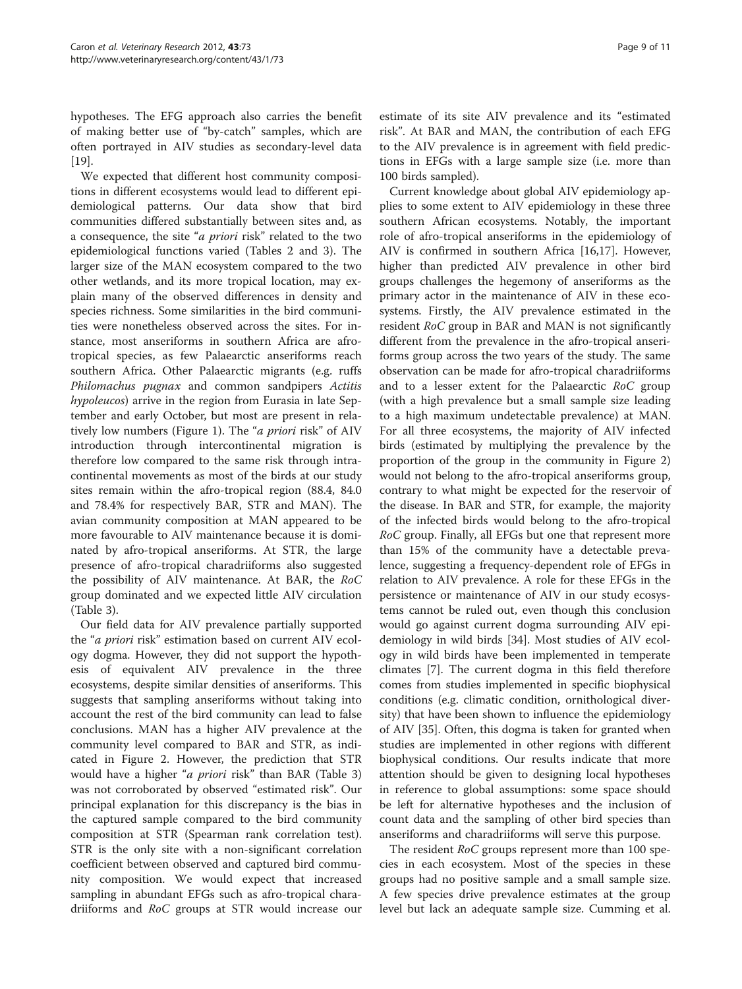hypotheses. The EFG approach also carries the benefit of making better use of "by-catch" samples, which are often portrayed in AIV studies as secondary-level data [[19\]](#page-10-0).

We expected that different host community compositions in different ecosystems would lead to different epidemiological patterns. Our data show that bird communities differed substantially between sites and, as a consequence, the site "a priori risk" related to the two epidemiological functions varied (Tables [2](#page-5-0) and [3\)](#page-7-0). The larger size of the MAN ecosystem compared to the two other wetlands, and its more tropical location, may explain many of the observed differences in density and species richness. Some similarities in the bird communities were nonetheless observed across the sites. For instance, most anseriforms in southern Africa are afrotropical species, as few Palaearctic anseriforms reach southern Africa. Other Palaearctic migrants (e.g. ruffs Philomachus pugnax and common sandpipers Actitis hypoleucos) arrive in the region from Eurasia in late September and early October, but most are present in relatively low numbers (Figure [1](#page-5-0)). The "a priori risk" of AIV introduction through intercontinental migration is therefore low compared to the same risk through intracontinental movements as most of the birds at our study sites remain within the afro-tropical region (88.4, 84.0 and 78.4% for respectively BAR, STR and MAN). The avian community composition at MAN appeared to be more favourable to AIV maintenance because it is dominated by afro-tropical anseriforms. At STR, the large presence of afro-tropical charadriiforms also suggested the possibility of AIV maintenance. At BAR, the RoC group dominated and we expected little AIV circulation (Table [3\)](#page-7-0).

Our field data for AIV prevalence partially supported the "a priori risk" estimation based on current AIV ecology dogma. However, they did not support the hypothesis of equivalent AIV prevalence in the three ecosystems, despite similar densities of anseriforms. This suggests that sampling anseriforms without taking into account the rest of the bird community can lead to false conclusions. MAN has a higher AIV prevalence at the community level compared to BAR and STR, as indicated in Figure [2.](#page-6-0) However, the prediction that STR would have a higher "a priori risk" than BAR (Table [3](#page-7-0)) was not corroborated by observed "estimated risk". Our principal explanation for this discrepancy is the bias in the captured sample compared to the bird community composition at STR (Spearman rank correlation test). STR is the only site with a non-significant correlation coefficient between observed and captured bird community composition. We would expect that increased sampling in abundant EFGs such as afro-tropical charadriiforms and RoC groups at STR would increase our estimate of its site AIV prevalence and its "estimated risk". At BAR and MAN, the contribution of each EFG to the AIV prevalence is in agreement with field predictions in EFGs with a large sample size (i.e. more than 100 birds sampled).

Current knowledge about global AIV epidemiology applies to some extent to AIV epidemiology in these three southern African ecosystems. Notably, the important role of afro-tropical anseriforms in the epidemiology of AIV is confirmed in southern Africa [[16,17\]](#page-10-0). However, higher than predicted AIV prevalence in other bird groups challenges the hegemony of anseriforms as the primary actor in the maintenance of AIV in these ecosystems. Firstly, the AIV prevalence estimated in the resident RoC group in BAR and MAN is not significantly different from the prevalence in the afro-tropical anseriforms group across the two years of the study. The same observation can be made for afro-tropical charadriiforms and to a lesser extent for the Palaearctic RoC group (with a high prevalence but a small sample size leading to a high maximum undetectable prevalence) at MAN. For all three ecosystems, the majority of AIV infected birds (estimated by multiplying the prevalence by the proportion of the group in the community in Figure [2](#page-6-0)) would not belong to the afro-tropical anseriforms group, contrary to what might be expected for the reservoir of the disease. In BAR and STR, for example, the majority of the infected birds would belong to the afro-tropical RoC group. Finally, all EFGs but one that represent more than 15% of the community have a detectable prevalence, suggesting a frequency-dependent role of EFGs in relation to AIV prevalence. A role for these EFGs in the persistence or maintenance of AIV in our study ecosystems cannot be ruled out, even though this conclusion would go against current dogma surrounding AIV epidemiology in wild birds [\[34](#page-10-0)]. Most studies of AIV ecology in wild birds have been implemented in temperate climates [[7\]](#page-9-0). The current dogma in this field therefore comes from studies implemented in specific biophysical conditions (e.g. climatic condition, ornithological diversity) that have been shown to influence the epidemiology of AIV [[35](#page-10-0)]. Often, this dogma is taken for granted when studies are implemented in other regions with different biophysical conditions. Our results indicate that more attention should be given to designing local hypotheses in reference to global assumptions: some space should be left for alternative hypotheses and the inclusion of count data and the sampling of other bird species than anseriforms and charadriiforms will serve this purpose.

The resident *RoC* groups represent more than 100 species in each ecosystem. Most of the species in these groups had no positive sample and a small sample size. A few species drive prevalence estimates at the group level but lack an adequate sample size. Cumming et al.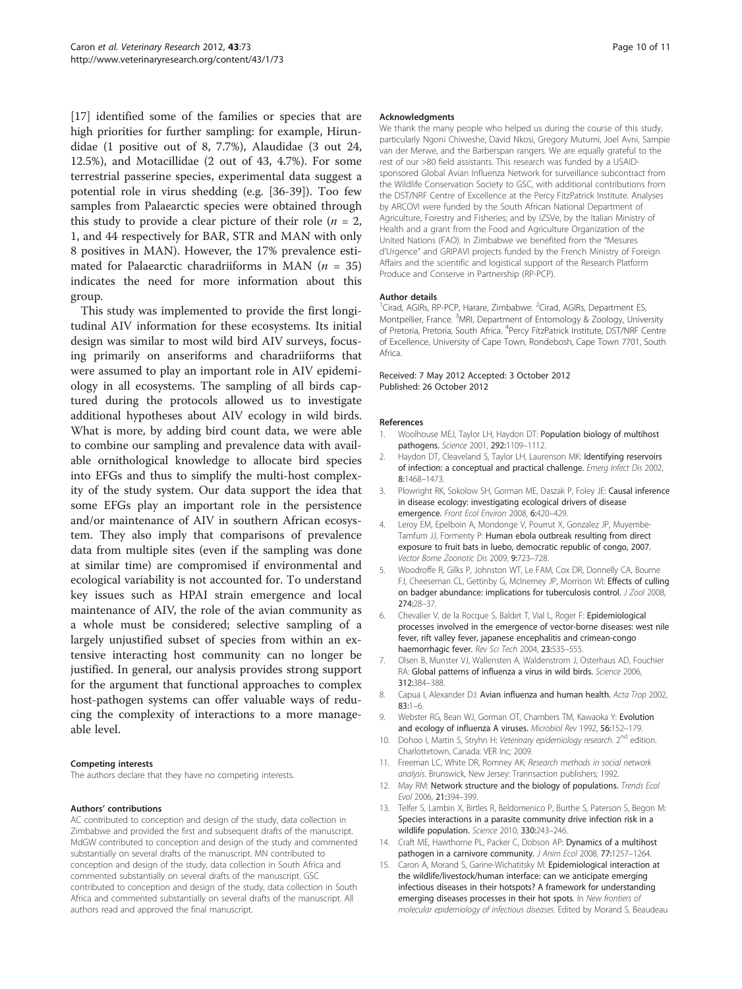<span id="page-9-0"></span>[[17\]](#page-10-0) identified some of the families or species that are high priorities for further sampling: for example, Hirundidae (1 positive out of 8, 7.7%), Alaudidae (3 out 24, 12.5%), and Motacillidae (2 out of 43, 4.7%). For some terrestrial passerine species, experimental data suggest a potential role in virus shedding (e.g. [\[36-39](#page-10-0)]). Too few samples from Palaearctic species were obtained through this study to provide a clear picture of their role ( $n = 2$ , 1, and 44 respectively for BAR, STR and MAN with only 8 positives in MAN). However, the 17% prevalence estimated for Palaearctic charadriiforms in MAN ( $n = 35$ ) indicates the need for more information about this group.

This study was implemented to provide the first longitudinal AIV information for these ecosystems. Its initial design was similar to most wild bird AIV surveys, focusing primarily on anseriforms and charadriiforms that were assumed to play an important role in AIV epidemiology in all ecosystems. The sampling of all birds captured during the protocols allowed us to investigate additional hypotheses about AIV ecology in wild birds. What is more, by adding bird count data, we were able to combine our sampling and prevalence data with available ornithological knowledge to allocate bird species into EFGs and thus to simplify the multi-host complexity of the study system. Our data support the idea that some EFGs play an important role in the persistence and/or maintenance of AIV in southern African ecosystem. They also imply that comparisons of prevalence data from multiple sites (even if the sampling was done at similar time) are compromised if environmental and ecological variability is not accounted for. To understand key issues such as HPAI strain emergence and local maintenance of AIV, the role of the avian community as a whole must be considered; selective sampling of a largely unjustified subset of species from within an extensive interacting host community can no longer be justified. In general, our analysis provides strong support for the argument that functional approaches to complex host-pathogen systems can offer valuable ways of reducing the complexity of interactions to a more manageable level.

#### Competing interests

The authors declare that they have no competing interests.

#### Authors' contributions

AC contributed to conception and design of the study, data collection in Zimbabwe and provided the first and subsequent drafts of the manuscript. MdGW contributed to conception and design of the study and commented substantially on several drafts of the manuscript. MN contributed to conception and design of the study, data collection in South Africa and commented substantially on several drafts of the manuscript. GSC contributed to conception and design of the study, data collection in South Africa and commented substantially on several drafts of the manuscript. All authors read and approved the final manuscript.

#### Acknowledgments

We thank the many people who helped us during the course of this study, particularly Ngoni Chiweshe, David Nkosi, Gregory Mutumi, Joel Avni, Sampie van der Merwe, and the Barberspan rangers. We are equally grateful to the rest of our >80 field assistants. This research was funded by a USAIDsponsored Global Avian Influenza Network for surveillance subcontract from the Wildlife Conservation Society to GSC, with additional contributions from the DST/NRF Centre of Excellence at the Percy FitzPatrick Institute. Analyses by ARCOVI were funded by the South African National Department of Agriculture, Forestry and Fisheries; and by IZSVe, by the Italian Ministry of Health and a grant from the Food and Agriculture Organization of the United Nations (FAO). In Zimbabwe we benefited from the "Mesures d'Urgence" and GRIPAVI projects funded by the French Ministry of Foreign Affairs and the scientific and logistical support of the Research Platform Produce and Conserve in Partnership (RP-PCP).

#### Author details

<sup>1</sup>Cirad, AGIRs, RP-PCP, Harare, Zimbabwe. <sup>2</sup>Cirad, AGIRs, Department ES, Montpellier, France. <sup>3</sup>MRI, Department of Entomology & Zoology, University of Pretoria, Pretoria, South Africa. <sup>4</sup>Percy FitzPatrick Institute, DST/NRF Centre of Excellence, University of Cape Town, Rondebosh, Cape Town 7701, South Africa.

#### Received: 7 May 2012 Accepted: 3 October 2012 Published: 26 October 2012

#### References

- 1. Woolhouse MEJ, Taylor LH, Haydon DT: Population biology of multihost pathogens. Science 2001, 292:1109–1112.
- 2. Haydon DT, Cleaveland S, Taylor LH, Laurenson MK: Identifying reservoirs of infection: a conceptual and practical challenge. Emerg Infect Dis 2002, 8:1468–1473.
- Plowright RK, Sokolow SH, Gorman ME, Daszak P, Foley JE: Causal inference in disease ecology: investigating ecological drivers of disease emergence. Front Ecol Environ 2008, 6:420–429.
- 4. Leroy EM, Epelboin A, Mondonge V, Pourrut X, Gonzalez JP, Muyembe-Tamfum JJ, Formenty P: Human ebola outbreak resulting from direct exposure to fruit bats in luebo, democratic republic of congo, 2007. Vector Borne Zoonotic Dis 2009, 9:723–728.
- 5. Woodroffe R, Gilks P, Johnston WT, Le FAM, Cox DR, Donnelly CA, Bourne FJ, Cheeseman CL, Gettinby G, McInerney JP, Morrison WI: Effects of culling on badger abundance: implications for tuberculosis control. J Zool 2008, 274:28–37.
- 6. Chevalier V, de la Rocque S, Baldet T, Vial L, Roger F: Epidemiological processes involved in the emergence of vector-borne diseases: west nile fever, rift valley fever, japanese encephalitis and crimean-congo haemorrhagic fever. Rev Sci Tech 2004, 23:535-555.
- 7. Olsen B, Munster VJ, Wallensten A, Waldenstrom J, Osterhaus AD, Fouchier RA: Global patterns of influenza a virus in wild birds. Science 2006, 312:384–388.
- 8. Capua I, Alexander DJ: Avian influenza and human health. Acta Trop 2002, 83:1–6.
- 9. Webster RG, Bean WJ, Gorman OT, Chambers TM, Kawaoka Y: Evolution and ecology of influenza A viruses. Microbiol Rev 1992, 56:152–179.
- 10. Dohoo I, Martin S, Stryhn H: Veterinary epidemiology research. 2<sup>nd</sup> edition. Charlottetown, Canada: VER Inc; 2009.
- 11. Freeman LC, White DR, Romney AK: Research methods in social network analysis. Brunswick, New Jersey: Trannsaction publishers; 1992.
- 12. May RM: Network structure and the biology of populations. Trends Ecol Evol 2006, 21:394–399.
- 13. Telfer S, Lambin X, Birtles R, Beldomenico P, Burthe S, Paterson S, Begon M: Species interactions in a parasite community drive infection risk in a wildlife population. Science 2010, 330:243–246.
- 14. Craft ME, Hawthorne PL, Packer C, Dobson AP: Dynamics of a multihost pathogen in a carnivore community. J Anim Ecol 2008, 77:1257-1264.
- 15. Caron A, Morand S, Garine-Wichatitsky M: Epidemiological interaction at the wildlife/livestock/human interface: can we anticipate emerging infectious diseases in their hotspots? A framework for understanding emerging diseases processes in their hot spots. In New frontiers of molecular epidemiology of infectious diseases. Edited by Morand S, Beaudeau